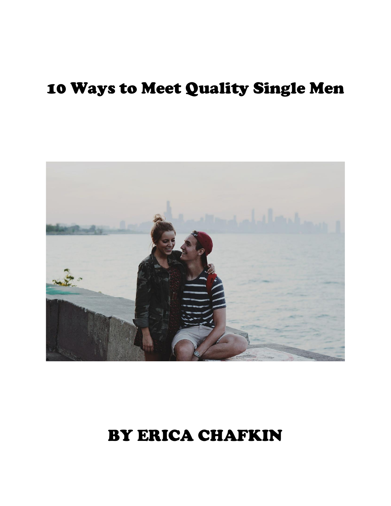# 10 Ways to Meet Quality Single Men



# BY ERICA CHAFKIN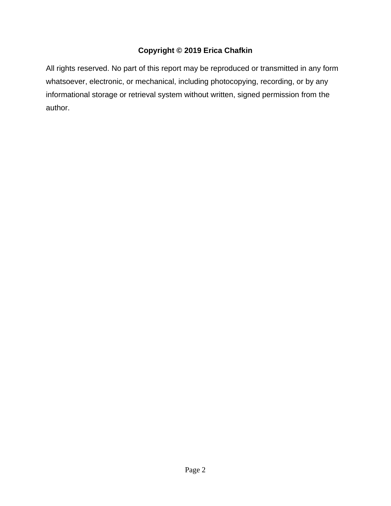## **Copyright © 2019 Erica Chafkin**

All rights reserved. No part of this report may be reproduced or transmitted in any form whatsoever, electronic, or mechanical, including photocopying, recording, or by any informational storage or retrieval system without written, signed permission from the author.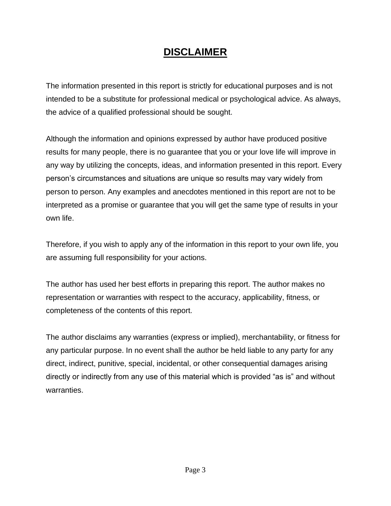## **DISCLAIMER**

The information presented in this report is strictly for educational purposes and is not intended to be a substitute for professional medical or psychological advice. As always, the advice of a qualified professional should be sought.

Although the information and opinions expressed by author have produced positive results for many people, there is no guarantee that you or your love life will improve in any way by utilizing the concepts, ideas, and information presented in this report. Every person's circumstances and situations are unique so results may vary widely from person to person. Any examples and anecdotes mentioned in this report are not to be interpreted as a promise or guarantee that you will get the same type of results in your own life.

Therefore, if you wish to apply any of the information in this report to your own life, you are assuming full responsibility for your actions.

The author has used her best efforts in preparing this report. The author makes no representation or warranties with respect to the accuracy, applicability, fitness, or completeness of the contents of this report.

The author disclaims any warranties (express or implied), merchantability, or fitness for any particular purpose. In no event shall the author be held liable to any party for any direct, indirect, punitive, special, incidental, or other consequential damages arising directly or indirectly from any use of this material which is provided "as is" and without warranties.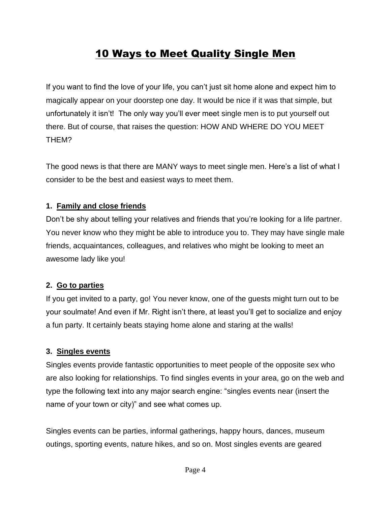## 10 Ways to Meet Quality Single Men

If you want to find the love of your life, you can't just sit home alone and expect him to magically appear on your doorstep one day. It would be nice if it was that simple, but unfortunately it isn't! The only way you'll ever meet single men is to put yourself out there. But of course, that raises the question: HOW AND WHERE DO YOU MEET THEM?

The good news is that there are MANY ways to meet single men. Here's a list of what I consider to be the best and easiest ways to meet them.

#### **1. Family and close friends**

Don't be shy about telling your relatives and friends that you're looking for a life partner. You never know who they might be able to introduce you to. They may have single male friends, acquaintances, colleagues, and relatives who might be looking to meet an awesome lady like you!

#### **2. Go to parties**

If you get invited to a party, go! You never know, one of the guests might turn out to be your soulmate! And even if Mr. Right isn't there, at least you'll get to socialize and enjoy a fun party. It certainly beats staying home alone and staring at the walls!

#### **3. Singles events**

Singles events provide fantastic opportunities to meet people of the opposite sex who are also looking for relationships. To find singles events in your area, go on the web and type the following text into any major search engine: "singles events near (insert the name of your town or city)" and see what comes up.

Singles events can be parties, informal gatherings, happy hours, dances, museum outings, sporting events, nature hikes, and so on. Most singles events are geared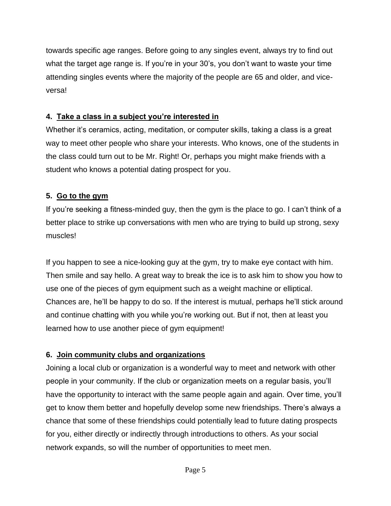towards specific age ranges. Before going to any singles event, always try to find out what the target age range is. If you're in your 30's, you don't want to waste your time attending singles events where the majority of the people are 65 and older, and viceversa!

## **4. Take a class in a subject you're interested in**

Whether it's ceramics, acting, meditation, or computer skills, taking a class is a great way to meet other people who share your interests. Who knows, one of the students in the class could turn out to be Mr. Right! Or, perhaps you might make friends with a student who knows a potential dating prospect for you.

## **5. Go to the gym**

If you're seeking a fitness-minded guy, then the gym is the place to go. I can't think of a better place to strike up conversations with men who are trying to build up strong, sexy muscles!

If you happen to see a nice-looking guy at the gym, try to make eye contact with him. Then smile and say hello. A great way to break the ice is to ask him to show you how to use one of the pieces of gym equipment such as a weight machine or elliptical. Chances are, he'll be happy to do so. If the interest is mutual, perhaps he'll stick around and continue chatting with you while you're working out. But if not, then at least you learned how to use another piece of gym equipment!

## **6. Join community clubs and organizations**

Joining a local club or organization is a wonderful way to meet and network with other people in your community. If the club or organization meets on a regular basis, you'll have the opportunity to interact with the same people again and again. Over time, you'll get to know them better and hopefully develop some new friendships. There's always a chance that some of these friendships could potentially lead to future dating prospects for you, either directly or indirectly through introductions to others. As your social network expands, so will the number of opportunities to meet men.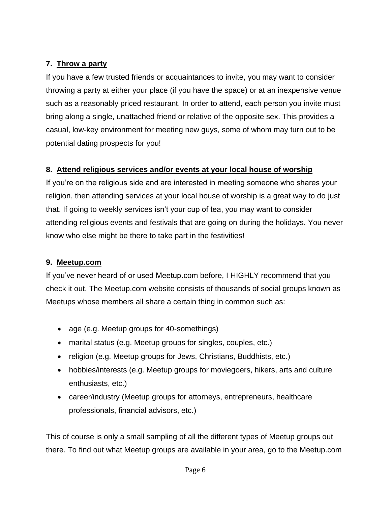## **7. Throw a party**

If you have a few trusted friends or acquaintances to invite, you may want to consider throwing a party at either your place (if you have the space) or at an inexpensive venue such as a reasonably priced restaurant. In order to attend, each person you invite must bring along a single, unattached friend or relative of the opposite sex. This provides a casual, low-key environment for meeting new guys, some of whom may turn out to be potential dating prospects for you!

## **8. Attend religious services and/or events at your local house of worship**

If you're on the religious side and are interested in meeting someone who shares your religion, then attending services at your local house of worship is a great way to do just that. If going to weekly services isn't your cup of tea, you may want to consider attending religious events and festivals that are going on during the holidays. You never know who else might be there to take part in the festivities!

## **9. Meetup.com**

If you've never heard of or used Meetup.com before, I HIGHLY recommend that you check it out. The Meetup.com website consists of thousands of social groups known as Meetups whose members all share a certain thing in common such as:

- age (e.g. Meetup groups for 40-somethings)
- marital status (e.g. Meetup groups for singles, couples, etc.)
- religion (e.g. Meetup groups for Jews, Christians, Buddhists, etc.)
- hobbies/interests (e.g. Meetup groups for moviegoers, hikers, arts and culture enthusiasts, etc.)
- career/industry (Meetup groups for attorneys, entrepreneurs, healthcare professionals, financial advisors, etc.)

This of course is only a small sampling of all the different types of Meetup groups out there. To find out what Meetup groups are available in your area, go to the Meetup.com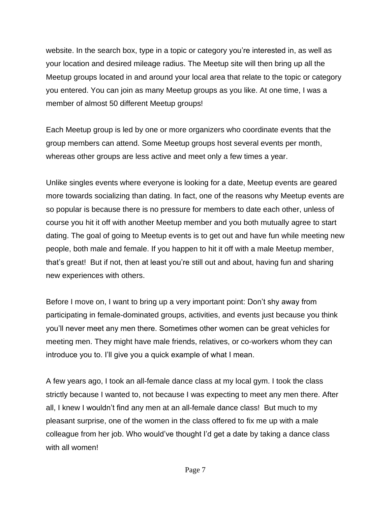website. In the search box, type in a topic or category you're interested in, as well as your location and desired mileage radius. The Meetup site will then bring up all the Meetup groups located in and around your local area that relate to the topic or category you entered. You can join as many Meetup groups as you like. At one time, I was a member of almost 50 different Meetup groups!

Each Meetup group is led by one or more organizers who coordinate events that the group members can attend. Some Meetup groups host several events per month, whereas other groups are less active and meet only a few times a year.

Unlike singles events where everyone is looking for a date, Meetup events are geared more towards socializing than dating. In fact, one of the reasons why Meetup events are so popular is because there is no pressure for members to date each other, unless of course you hit it off with another Meetup member and you both mutually agree to start dating. The goal of going to Meetup events is to get out and have fun while meeting new people, both male and female. If you happen to hit it off with a male Meetup member, that's great! But if not, then at least you're still out and about, having fun and sharing new experiences with others.

Before I move on, I want to bring up a very important point: Don't shy away from participating in female-dominated groups, activities, and events just because you think you'll never meet any men there. Sometimes other women can be great vehicles for meeting men. They might have male friends, relatives, or co-workers whom they can introduce you to. I'll give you a quick example of what I mean.

A few years ago, I took an all-female dance class at my local gym. I took the class strictly because I wanted to, not because I was expecting to meet any men there. After all, I knew I wouldn't find any men at an all-female dance class! But much to my pleasant surprise, one of the women in the class offered to fix me up with a male colleague from her job. Who would've thought I'd get a date by taking a dance class with all women!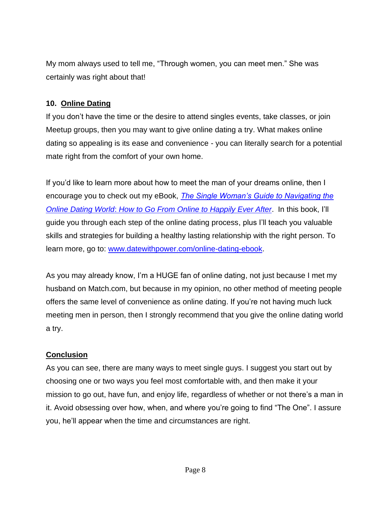My mom always used to tell me, "Through women, you can meet men." She was certainly was right about that!

### **10. Online Dating**

If you don't have the time or the desire to attend singles events, take classes, or join Meetup groups, then you may want to give online dating a try. What makes online dating so appealing is its ease and convenience - you can literally search for a potential mate right from the comfort of your own home.

If you'd like to learn more about how to meet the man of your dreams online, then I encourage you to check out my eBook, *[The Single Woman's Guide to Navigating the](http://www.datewithpower.com/online-dating-ebook.html)  Online Dating World*: *[How to Go From Online to Happily Ever After](http://www.datewithpower.com/online-dating-ebook.html)*. In this book, I'll guide you through each step of the online dating process, plus I'll teach you valuable skills and strategies for building a healthy lasting relationship with the right person. To learn more, go to: [www.datewithpower.com/online-dating-ebook.](http://www.datewithpower.com/online-dating-ebook)

As you may already know, I'm a HUGE fan of online dating, not just because I met my husband on Match.com, but because in my opinion, no other method of meeting people offers the same level of convenience as online dating. If you're not having much luck meeting men in person, then I strongly recommend that you give the online dating world a try.

## **Conclusion**

As you can see, there are many ways to meet single guys. I suggest you start out by choosing one or two ways you feel most comfortable with, and then make it your mission to go out, have fun, and enjoy life, regardless of whether or not there's a man in it. Avoid obsessing over how, when, and where you're going to find "The One". I assure you, he'll appear when the time and circumstances are right.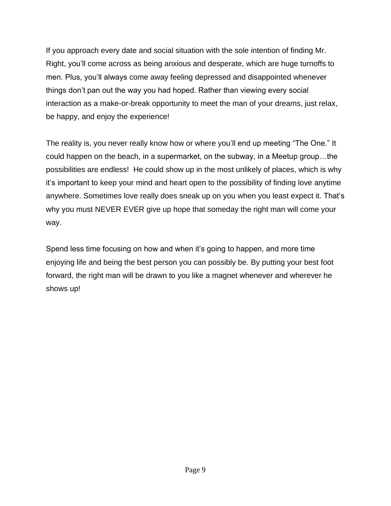If you approach every date and social situation with the sole intention of finding Mr. Right, you'll come across as being anxious and desperate, which are huge turnoffs to men. Plus, you'll always come away feeling depressed and disappointed whenever things don't pan out the way you had hoped. Rather than viewing every social interaction as a make-or-break opportunity to meet the man of your dreams, just relax, be happy, and enjoy the experience!

The reality is, you never really know how or where you'll end up meeting "The One." It could happen on the beach, in a supermarket, on the subway, in a Meetup group…the possibilities are endless! He could show up in the most unlikely of places, which is why it's important to keep your mind and heart open to the possibility of finding love anytime anywhere. Sometimes love really does sneak up on you when you least expect it. That's why you must NEVER EVER give up hope that someday the right man will come your way.

Spend less time focusing on how and when it's going to happen, and more time enjoying life and being the best person you can possibly be. By putting your best foot forward, the right man will be drawn to you like a magnet whenever and wherever he shows up!